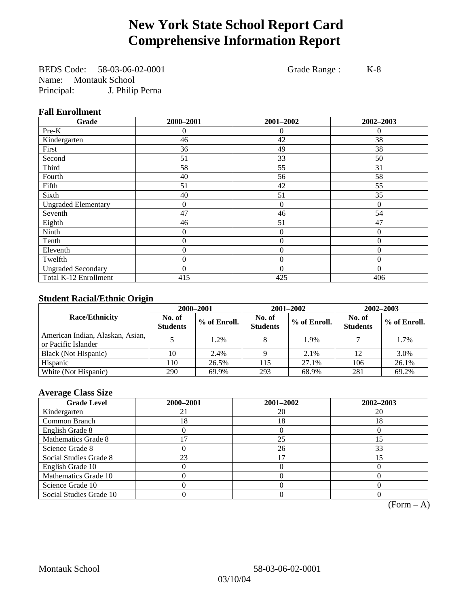# **New York State School Report Card Comprehensive Information Report**

BEDS Code: 58-03-06-02-0001 Grade Range : K-8 Name: Montauk School Principal: J. Philip Perna

## **Fall Enrollment**

| Grade                      | 2000-2001      | 2001-2002      | 2002-2003 |
|----------------------------|----------------|----------------|-----------|
| Pre-K                      | $\overline{0}$ | 0              | $\theta$  |
| Kindergarten               | 46             | 42             | 38        |
| First                      | 36             | 49             | 38        |
| Second                     | 51             | 33             | 50        |
| Third                      | 58             | 55             | 31        |
| Fourth                     | 40             | 56             | 58        |
| Fifth                      | 51             | 42             | 55        |
| Sixth                      | 40             | 51             | 35        |
| <b>Ungraded Elementary</b> | 0              | $\theta$       | $\theta$  |
| Seventh                    | 47             | 46             | 54        |
| Eighth                     | 46             | 51             | 47        |
| Ninth                      | $\theta$       | $\theta$       | $\Omega$  |
| Tenth                      | 0              | 0              | $\theta$  |
| Eleventh                   | $\overline{0}$ | $\mathbf{0}$   | $\theta$  |
| Twelfth                    | 0              | $\overline{0}$ | $\Omega$  |
| <b>Ungraded Secondary</b>  | $\theta$       | $\theta$       | $\Omega$  |
| Total K-12 Enrollment      | 415            | 425            | 406       |

## **Student Racial/Ethnic Origin**

|                                                         | 2000-2001                 |              |                           | 2001-2002    | $2002 - 2003$             |                |
|---------------------------------------------------------|---------------------------|--------------|---------------------------|--------------|---------------------------|----------------|
| <b>Race/Ethnicity</b>                                   | No. of<br><b>Students</b> | % of Enroll. | No. of<br><b>Students</b> | % of Enroll. | No. of<br><b>Students</b> | $%$ of Enroll. |
| American Indian, Alaskan, Asian,<br>or Pacific Islander |                           | 1.2%         |                           | 1.9%         |                           | 1.7%           |
| Black (Not Hispanic)                                    | 10                        | 2.4%         |                           | 2.1%         | 12                        | 3.0%           |
| Hispanic                                                | 110                       | 26.5%        | 115                       | 27.1%        | 106                       | 26.1%          |
| White (Not Hispanic)                                    | 290                       | 69.9%        | 293                       | 68.9%        | 281                       | 69.2%          |

## **Average Class Size**

| <b>Grade Level</b>      | 2000-2001 | 2001-2002 | 2002-2003      |
|-------------------------|-----------|-----------|----------------|
| Kindergarten            |           | 20        | 20             |
| Common Branch           | 18        | 18        | 18             |
| English Grade 8         |           |           |                |
| Mathematics Grade 8     |           | 25        | $\overline{5}$ |
| Science Grade 8         |           | 26        | 33             |
| Social Studies Grade 8  | 23        |           | 15             |
| English Grade 10        |           |           |                |
| Mathematics Grade 10    |           |           |                |
| Science Grade 10        |           |           |                |
| Social Studies Grade 10 |           |           |                |

 $(Form – A)$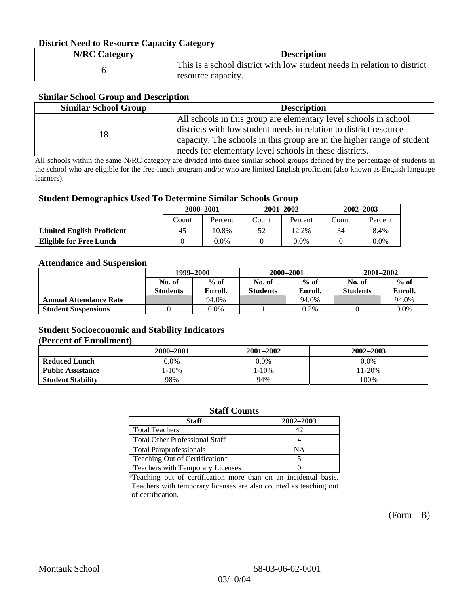## **District Need to Resource Capacity Category**

| <b>N/RC Category</b> | <b>Description</b>                                                                             |
|----------------------|------------------------------------------------------------------------------------------------|
|                      | This is a school district with low student needs in relation to district<br>resource capacity. |

### **Similar School Group and Description**

| <b>Similar School Group</b> | <b>Description</b>                                                     |
|-----------------------------|------------------------------------------------------------------------|
|                             | All schools in this group are elementary level schools in school       |
| 18                          | districts with low student needs in relation to district resource      |
|                             | capacity. The schools in this group are in the higher range of student |
|                             | needs for elementary level schools in these districts.                 |

All schools within the same N/RC category are divided into three similar school groups defined by the percentage of students in the school who are eligible for the free-lunch program and/or who are limited English proficient (also known as English language learners).

### **Student Demographics Used To Determine Similar Schools Group**

| . .                               | 2000-2001 |         | $2001 - 2002$ |         | $2002 - 2003$ |         |
|-----------------------------------|-----------|---------|---------------|---------|---------------|---------|
|                                   | Count     | Percent | Count         | Percent | Count         | Percent |
| <b>Limited English Proficient</b> | 45        | 10.8%   | 52            | 12.2%   | 34            | 8.4%    |
| <b>Eligible for Free Lunch</b>    |           | 0.0%    |               | $0.0\%$ |               | $0.0\%$ |

#### **Attendance and Suspension**

|                               | 1999–2000        |         | 2000-2001       |         | $2001 - 2002$   |         |
|-------------------------------|------------------|---------|-----------------|---------|-----------------|---------|
|                               | $%$ of<br>No. of |         | No. of          | $%$ of  |                 | $%$ of  |
|                               | <b>Students</b>  | Enroll. | <b>Students</b> | Enroll. | <b>Students</b> | Enroll. |
| <b>Annual Attendance Rate</b> |                  | 94.0%   |                 | 94.0%   |                 | 94.0%   |
| <b>Student Suspensions</b>    |                  | 0.0%    |                 | 0.2%    |                 | 0.0%    |

## **Student Socioeconomic and Stability Indicators (Percent of Enrollment)**

|                          | 2000-2001 | 2001–2002 | 2002-2003 |
|--------------------------|-----------|-----------|-----------|
| <b>Reduced Lunch</b>     | 0.0%      | $0.0\%$   | $0.0\%$   |
| <b>Public Assistance</b> | $-10%$    | 1-10%     | $11-20%$  |
| <b>Student Stability</b> | 98%       | 94%       | 100%      |

### **Staff Counts**

| Staff                                   | 2002-2003 |
|-----------------------------------------|-----------|
| <b>Total Teachers</b>                   | 42        |
| <b>Total Other Professional Staff</b>   |           |
| <b>Total Paraprofessionals</b>          | NΑ        |
| Teaching Out of Certification*          |           |
| <b>Teachers with Temporary Licenses</b> |           |

\*Teaching out of certification more than on an incidental basis. Teachers with temporary licenses are also counted as teaching out of certification.

 $(Form - B)$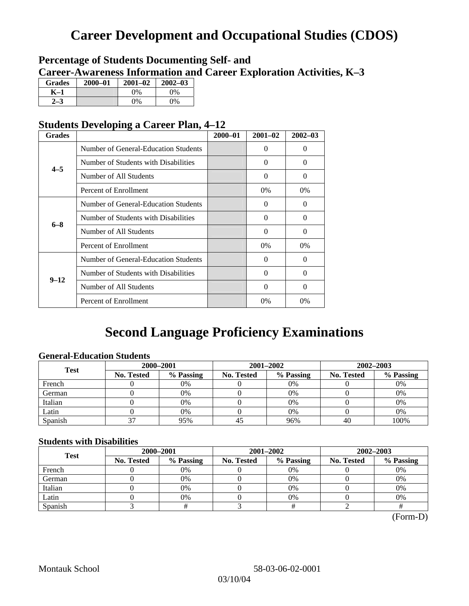# **Career Development and Occupational Studies (CDOS)**

## **Percentage of Students Documenting Self- and Career-Awareness Information and Career Exploration Activities, K–3**

| <b>Grades</b> | $2000 - 01$ | $2001 - 02$ | $2002 - 03$ |
|---------------|-------------|-------------|-------------|
| K–1           |             | 0%          | $0\%$       |
| $-3$          |             | $0\%$       | $0\%$       |

## **Students Developing a Career Plan, 4–12**

| <b>Grades</b> |                                      | $2000 - 01$ | $2001 - 02$ | $2002 - 03$ |
|---------------|--------------------------------------|-------------|-------------|-------------|
|               | Number of General-Education Students |             | 0           | $\Omega$    |
| $4 - 5$       | Number of Students with Disabilities |             | 0           | $\Omega$    |
|               | Number of All Students               |             | 0           | $\Omega$    |
|               | Percent of Enrollment                |             | 0%          | $0\%$       |
|               | Number of General-Education Students |             | 0           | 0           |
| $6 - 8$       | Number of Students with Disabilities |             | $\Omega$    | $\Omega$    |
|               | Number of All Students               |             | $\theta$    | $\Omega$    |
|               | Percent of Enrollment                |             | $0\%$       | $0\%$       |
|               | Number of General-Education Students |             | 0           | $\Omega$    |
| $9 - 12$      | Number of Students with Disabilities |             | 0           | $\Omega$    |
|               | Number of All Students               |             | $\Omega$    | $\Omega$    |
|               | Percent of Enrollment                |             | $0\%$       | 0%          |

## **Second Language Proficiency Examinations**

## **General-Education Students**

| <b>Test</b> | 2000-2001         |           |            | 2001–2002 | 2002-2003         |           |
|-------------|-------------------|-----------|------------|-----------|-------------------|-----------|
|             | <b>No. Tested</b> | % Passing | No. Tested | % Passing | <b>No. Tested</b> | % Passing |
| French      |                   | 0%        |            | $0\%$     |                   | 0%        |
| German      |                   | 0%        |            | 0%        |                   | 0%        |
| Italian     |                   | 0%        |            | 0%        |                   | 0%        |
| Latin       |                   | 0%        |            | 0%        |                   | 0%        |
| Spanish     |                   | 95%       | 45         | 96%       | 40                | 100%      |

## **Students with Disabilities**

| <b>Test</b> | 2000-2001         |           |            | 2001-2002 | 2002-2003  |           |  |
|-------------|-------------------|-----------|------------|-----------|------------|-----------|--|
|             | <b>No. Tested</b> | % Passing | No. Tested | % Passing | No. Tested | % Passing |  |
| French      |                   | 0%        |            | $0\%$     |            | 0%        |  |
| German      |                   | 0%        |            | 0%        |            | 0%        |  |
| Italian     |                   | 0%        |            | 0%        |            | 0%        |  |
| Latin       |                   | 0%        |            | 0%        |            | 0%        |  |
| Spanish     |                   |           |            |           |            |           |  |

(Form-D)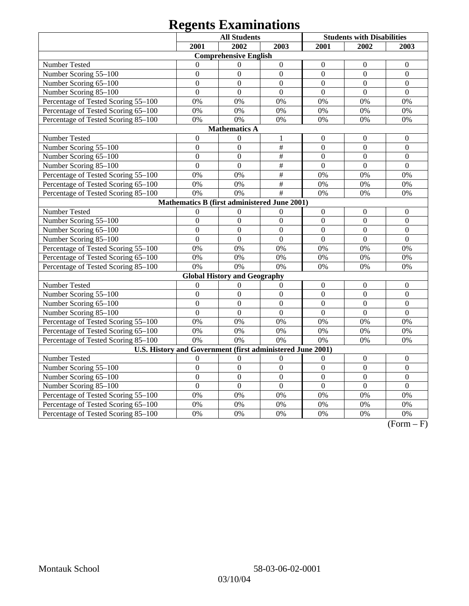# **Regents Examinations**

|                                                            | <b>All Students</b> |                                              |                           |                  | <b>Students with Disabilities</b> |                  |  |  |  |
|------------------------------------------------------------|---------------------|----------------------------------------------|---------------------------|------------------|-----------------------------------|------------------|--|--|--|
|                                                            | 2001                | 2002                                         | 2003                      | 2001             | 2002                              | 2003             |  |  |  |
| <b>Comprehensive English</b>                               |                     |                                              |                           |                  |                                   |                  |  |  |  |
| <b>Number Tested</b>                                       | $\Omega$            | $\mathbf{0}$                                 | $\boldsymbol{0}$          | $\boldsymbol{0}$ | $\mathbf{0}$                      | $\overline{0}$   |  |  |  |
| Number Scoring 55-100                                      | $\overline{0}$      | $\overline{0}$                               | $\mathbf{0}$              | $\overline{0}$   | $\overline{0}$                    | $\overline{0}$   |  |  |  |
| Number Scoring 65-100                                      | $\overline{0}$      | $\overline{0}$                               | $\mathbf{0}$              | $\overline{0}$   | $\overline{0}$                    | $\overline{0}$   |  |  |  |
| Number Scoring 85-100                                      | $\overline{0}$      | $\overline{0}$                               | $\overline{0}$            | $\overline{0}$   | $\overline{0}$                    | $\overline{0}$   |  |  |  |
| Percentage of Tested Scoring 55-100                        | 0%                  | 0%                                           | 0%                        | 0%               | 0%                                | 0%               |  |  |  |
| Percentage of Tested Scoring 65-100                        | 0%                  | 0%                                           | 0%                        | 0%               | 0%                                | 0%               |  |  |  |
| Percentage of Tested Scoring 85-100                        | 0%                  | 0%                                           | 0%                        | 0%               | 0%                                | 0%               |  |  |  |
|                                                            |                     | <b>Mathematics A</b>                         |                           |                  |                                   |                  |  |  |  |
| Number Tested                                              | $\boldsymbol{0}$    | $\mathbf{0}$                                 | 1                         | $\boldsymbol{0}$ | $\mathbf{0}$                      | $\boldsymbol{0}$ |  |  |  |
| Number Scoring 55-100                                      | $\overline{0}$      | $\overline{0}$                               | $\#$                      | $\overline{0}$   | $\overline{0}$                    | $\overline{0}$   |  |  |  |
| Number Scoring 65-100                                      | $\overline{0}$      | $\boldsymbol{0}$                             | $\#$                      | $\overline{0}$   | $\overline{0}$                    | $\overline{0}$   |  |  |  |
| Number Scoring 85-100                                      | $\overline{0}$      | $\overline{0}$                               | $\overline{\#}$           | $\overline{0}$   | $\overline{0}$                    | $\mathbf{0}$     |  |  |  |
| Percentage of Tested Scoring 55-100                        | 0%                  | 0%                                           | $\overline{\overline{H}}$ | 0%               | 0%                                | 0%               |  |  |  |
| Percentage of Tested Scoring 65-100                        | 0%                  | 0%                                           | $\#$                      | 0%               | 0%                                | 0%               |  |  |  |
| Percentage of Tested Scoring 85-100                        | 0%                  | 0%                                           | #                         | 0%               | 0%                                | 0%               |  |  |  |
|                                                            |                     | Mathematics B (first administered June 2001) |                           |                  |                                   |                  |  |  |  |
| <b>Number Tested</b>                                       | $\mathbf{0}$        | $\mathbf{0}$                                 | $\mathbf{0}$              | $\boldsymbol{0}$ | $\mathbf{0}$                      | $\overline{0}$   |  |  |  |
| Number Scoring 55-100                                      | $\overline{0}$      | $\overline{0}$                               | $\overline{0}$            | $\overline{0}$   | $\overline{0}$                    | $\overline{0}$   |  |  |  |
| Number Scoring 65-100                                      | $\overline{0}$      | $\overline{0}$                               | $\overline{0}$            | $\overline{0}$   | $\overline{0}$                    | $\overline{0}$   |  |  |  |
| Number Scoring 85-100                                      | $\overline{0}$      | $\overline{0}$                               | $\overline{0}$            | $\overline{0}$   | $\overline{0}$                    | $\overline{0}$   |  |  |  |
| Percentage of Tested Scoring 55-100                        | 0%                  | 0%                                           | 0%                        | 0%               | 0%                                | 0%               |  |  |  |
| Percentage of Tested Scoring 65-100                        | 0%                  | 0%                                           | 0%                        | 0%               | 0%                                | 0%               |  |  |  |
| Percentage of Tested Scoring 85-100                        | 0%                  | 0%                                           | 0%                        | 0%               | 0%                                | 0%               |  |  |  |
|                                                            |                     | <b>Global History and Geography</b>          |                           |                  |                                   |                  |  |  |  |
| Number Tested                                              | $\boldsymbol{0}$    | $\boldsymbol{0}$                             | $\boldsymbol{0}$          | $\boldsymbol{0}$ | $\boldsymbol{0}$                  | $\boldsymbol{0}$ |  |  |  |
| Number Scoring 55-100                                      | $\overline{0}$      | $\overline{0}$                               | $\boldsymbol{0}$          | $\overline{0}$   | $\overline{0}$                    | $\overline{0}$   |  |  |  |
| Number Scoring 65-100                                      | $\overline{0}$      | $\boldsymbol{0}$                             | $\boldsymbol{0}$          | $\boldsymbol{0}$ | $\boldsymbol{0}$                  | $\boldsymbol{0}$ |  |  |  |
| Number Scoring 85-100                                      | $\overline{0}$      | $\overline{0}$                               | $\overline{0}$            | $\overline{0}$   | $\overline{0}$                    | $\overline{0}$   |  |  |  |
| Percentage of Tested Scoring 55-100                        | 0%                  | 0%                                           | 0%                        | 0%               | 0%                                | 0%               |  |  |  |
| Percentage of Tested Scoring 65-100                        | 0%                  | 0%                                           | 0%                        | 0%               | 0%                                | 0%               |  |  |  |
| Percentage of Tested Scoring 85-100                        | 0%                  | 0%                                           | 0%                        | 0%               | 0%                                | 0%               |  |  |  |
| U.S. History and Government (first administered June 2001) |                     |                                              |                           |                  |                                   |                  |  |  |  |
| Number Tested                                              | $\theta$            | $\boldsymbol{0}$                             | $\boldsymbol{0}$          | $\boldsymbol{0}$ | $\boldsymbol{0}$                  | $\boldsymbol{0}$ |  |  |  |
| Number Scoring 55-100                                      | $\overline{0}$      | $\overline{0}$                               | $\overline{0}$            | $\overline{0}$   | $\overline{0}$                    | $\overline{0}$   |  |  |  |
| Number Scoring 65-100                                      | $\overline{0}$      | $\overline{0}$                               | $\overline{0}$            | $\overline{0}$   | $\overline{0}$                    | $\overline{0}$   |  |  |  |
| Number Scoring 85-100                                      | $\overline{0}$      | $\overline{0}$                               | $\overline{0}$            | $\overline{0}$   | $\overline{0}$                    | $\overline{0}$   |  |  |  |
| Percentage of Tested Scoring 55-100                        | 0%                  | 0%                                           | 0%                        | 0%               | 0%                                | 0%               |  |  |  |
| Percentage of Tested Scoring 65-100                        | 0%                  | 0%                                           | 0%                        | 0%               | 0%                                | 0%               |  |  |  |
| Percentage of Tested Scoring 85-100                        | 0%                  | 0%                                           | 0%                        | 0%               | 0%                                | 0%               |  |  |  |

 $\overline{(Form - F)}$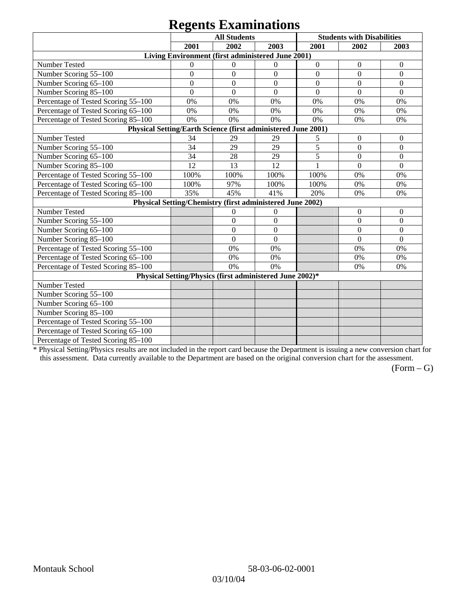# **Regents Examinations**

|                                                               | 8°-<br><b>All Students</b> |                                                           |                  | <b>Students with Disabilities</b> |                  |                  |  |  |
|---------------------------------------------------------------|----------------------------|-----------------------------------------------------------|------------------|-----------------------------------|------------------|------------------|--|--|
|                                                               | 2001<br>2002<br>2003       |                                                           |                  | 2001                              | 2002             | 2003             |  |  |
| Living Environment (first administered June 2001)             |                            |                                                           |                  |                                   |                  |                  |  |  |
| Number Tested                                                 | $\mathbf{0}$               | $\theta$                                                  | $\mathbf{0}$     | $\boldsymbol{0}$                  | $\boldsymbol{0}$ | $\boldsymbol{0}$ |  |  |
| Number Scoring 55-100                                         | $\overline{0}$             | $\overline{0}$                                            | $\overline{0}$   | $\overline{0}$                    | $\overline{0}$   | $\overline{0}$   |  |  |
| Number Scoring 65-100                                         | $\mathbf{0}$               | $\overline{0}$                                            | $\overline{0}$   | $\overline{0}$                    | $\overline{0}$   | $\mathbf{0}$     |  |  |
| Number Scoring 85-100                                         | $\mathbf{0}$               | $\overline{0}$                                            | $\boldsymbol{0}$ | $\boldsymbol{0}$                  | $\boldsymbol{0}$ | $\boldsymbol{0}$ |  |  |
| Percentage of Tested Scoring 55-100                           | 0%                         | 0%                                                        | 0%               | 0%                                | 0%               | 0%               |  |  |
| Percentage of Tested Scoring 65-100                           | 0%                         | 0%                                                        | 0%               | 0%                                | 0%               | 0%               |  |  |
| Percentage of Tested Scoring 85-100                           | 0%                         | 0%                                                        | 0%               | 0%                                | 0%               | 0%               |  |  |
| Physical Setting/Earth Science (first administered June 2001) |                            |                                                           |                  |                                   |                  |                  |  |  |
| Number Tested                                                 | 34                         | 29                                                        | 29               | 5                                 | $\boldsymbol{0}$ | $\mathbf{0}$     |  |  |
| Number Scoring 55-100                                         | 34                         | 29                                                        | 29               | $\overline{5}$                    | $\overline{0}$   | $\overline{0}$   |  |  |
| Number Scoring 65-100                                         | 34                         | 28                                                        | 29               | 5                                 | $\overline{0}$   | $\overline{0}$   |  |  |
| Number Scoring 85-100                                         | 12                         | 13                                                        | 12               | 1                                 | $\mathbf{0}$     | $\boldsymbol{0}$ |  |  |
| Percentage of Tested Scoring 55-100                           | 100%                       | 100%                                                      | 100%             | 100%                              | 0%               | 0%               |  |  |
| Percentage of Tested Scoring 65-100                           | 100%                       | 97%                                                       | 100%             | 100%                              | 0%               | 0%               |  |  |
| Percentage of Tested Scoring 85-100                           | 35%                        | 45%                                                       | 41%              | 20%                               | 0%               | 0%               |  |  |
|                                                               |                            | Physical Setting/Chemistry (first administered June 2002) |                  |                                   |                  |                  |  |  |
| Number Tested                                                 |                            | $\mathbf{0}$                                              | $\mathbf{0}$     |                                   | $\theta$         | $\theta$         |  |  |
| Number Scoring 55-100                                         |                            | $\overline{0}$                                            | $\mathbf{0}$     |                                   | $\theta$         | $\overline{0}$   |  |  |
| Number Scoring 65-100                                         |                            | $\mathbf{0}$                                              | $\mathbf{0}$     |                                   | $\theta$         | $\theta$         |  |  |
| Number Scoring 85-100                                         |                            | $\overline{0}$                                            | $\mathbf{0}$     |                                   | $\overline{0}$   | $\mathbf{0}$     |  |  |
| Percentage of Tested Scoring 55-100                           |                            | 0%                                                        | 0%               |                                   | 0%               | 0%               |  |  |
| Percentage of Tested Scoring 65-100                           |                            | 0%                                                        | 0%               |                                   | 0%               | 0%               |  |  |
| Percentage of Tested Scoring 85-100                           |                            | 0%                                                        | 0%               |                                   | 0%               | 0%               |  |  |
| Physical Setting/Physics (first administered June 2002)*      |                            |                                                           |                  |                                   |                  |                  |  |  |
| Number Tested                                                 |                            |                                                           |                  |                                   |                  |                  |  |  |
| Number Scoring 55-100                                         |                            |                                                           |                  |                                   |                  |                  |  |  |
| Number Scoring 65-100                                         |                            |                                                           |                  |                                   |                  |                  |  |  |
| Number Scoring 85-100                                         |                            |                                                           |                  |                                   |                  |                  |  |  |
| Percentage of Tested Scoring 55-100                           |                            |                                                           |                  |                                   |                  |                  |  |  |
| Percentage of Tested Scoring 65-100                           |                            |                                                           |                  |                                   |                  |                  |  |  |
| Percentage of Tested Scoring 85-100                           |                            |                                                           |                  |                                   |                  |                  |  |  |

\* Physical Setting/Physics results are not included in the report card because the Department is issuing a new conversion chart for this assessment. Data currently available to the Department are based on the original conversion chart for the assessment.

 $(Form - G)$